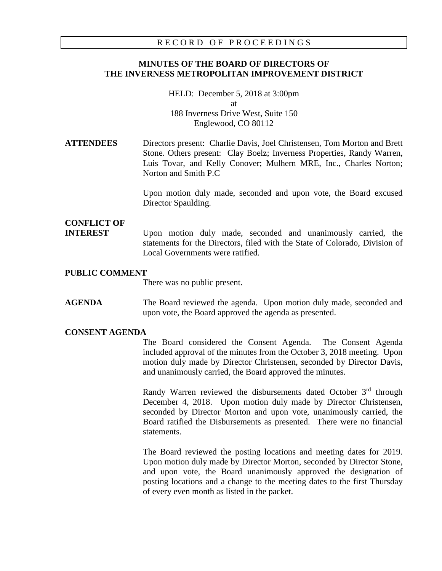### RECORD OF PROCEEDINGS

# **MINUTES OF THE BOARD OF DIRECTORS OF THE INVERNESS METROPOLITAN IMPROVEMENT DISTRICT**

HELD: December 5, 2018 at 3:00pm at 188 Inverness Drive West, Suite 150 Englewood, CO 80112

# **ATTENDEES** Directors present: Charlie Davis, Joel Christensen, Tom Morton and Brett Stone. Others present: Clay Boelz; Inverness Properties, Randy Warren, Luis Tovar, and Kelly Conover; Mulhern MRE, Inc., Charles Norton; Norton and Smith P.C

Upon motion duly made, seconded and upon vote, the Board excused Director Spaulding.

# **CONFLICT OF**

**INTEREST** Upon motion duly made, seconded and unanimously carried, the statements for the Directors, filed with the State of Colorado, Division of Local Governments were ratified.

### **PUBLIC COMMENT**

There was no public present.

**AGENDA** The Board reviewed the agenda. Upon motion duly made, seconded and upon vote, the Board approved the agenda as presented.

#### **CONSENT AGENDA**

The Board considered the Consent Agenda. The Consent Agenda included approval of the minutes from the October 3, 2018 meeting. Upon motion duly made by Director Christensen, seconded by Director Davis, and unanimously carried, the Board approved the minutes.

Randy Warren reviewed the disbursements dated October 3rd through December 4, 2018. Upon motion duly made by Director Christensen, seconded by Director Morton and upon vote, unanimously carried, the Board ratified the Disbursements as presented. There were no financial statements.

The Board reviewed the posting locations and meeting dates for 2019. Upon motion duly made by Director Morton, seconded by Director Stone, and upon vote, the Board unanimously approved the designation of posting locations and a change to the meeting dates to the first Thursday of every even month as listed in the packet.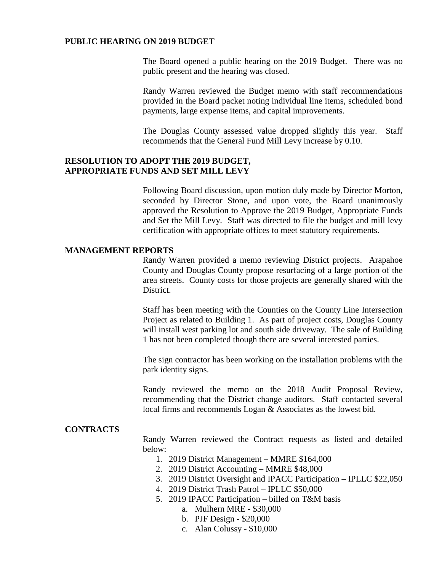#### **PUBLIC HEARING ON 2019 BUDGET**

The Board opened a public hearing on the 2019 Budget. There was no public present and the hearing was closed.

Randy Warren reviewed the Budget memo with staff recommendations provided in the Board packet noting individual line items, scheduled bond payments, large expense items, and capital improvements.

The Douglas County assessed value dropped slightly this year. Staff recommends that the General Fund Mill Levy increase by 0.10.

## **RESOLUTION TO ADOPT THE 2019 BUDGET, APPROPRIATE FUNDS AND SET MILL LEVY**

Following Board discussion, upon motion duly made by Director Morton, seconded by Director Stone, and upon vote, the Board unanimously approved the Resolution to Approve the 2019 Budget, Appropriate Funds and Set the Mill Levy. Staff was directed to file the budget and mill levy certification with appropriate offices to meet statutory requirements.

## **MANAGEMENT REPORTS**

Randy Warren provided a memo reviewing District projects. Arapahoe County and Douglas County propose resurfacing of a large portion of the area streets. County costs for those projects are generally shared with the District.

Staff has been meeting with the Counties on the County Line Intersection Project as related to Building 1. As part of project costs, Douglas County will install west parking lot and south side driveway. The sale of Building 1 has not been completed though there are several interested parties.

The sign contractor has been working on the installation problems with the park identity signs.

Randy reviewed the memo on the 2018 Audit Proposal Review, recommending that the District change auditors. Staff contacted several local firms and recommends Logan & Associates as the lowest bid.

## **CONTRACTS**

Randy Warren reviewed the Contract requests as listed and detailed below:

- 1. 2019 District Management MMRE \$164,000
- 2. 2019 District Accounting MMRE \$48,000
- 3. 2019 District Oversight and IPACC Participation IPLLC \$22,050
- 4. 2019 District Trash Patrol IPLLC \$50,000
- 5. 2019 IPACC Participation billed on T&M basis
	- a. Mulhern MRE \$30,000
	- b. PJF Design \$20,000
	- c. Alan Colussy \$10,000